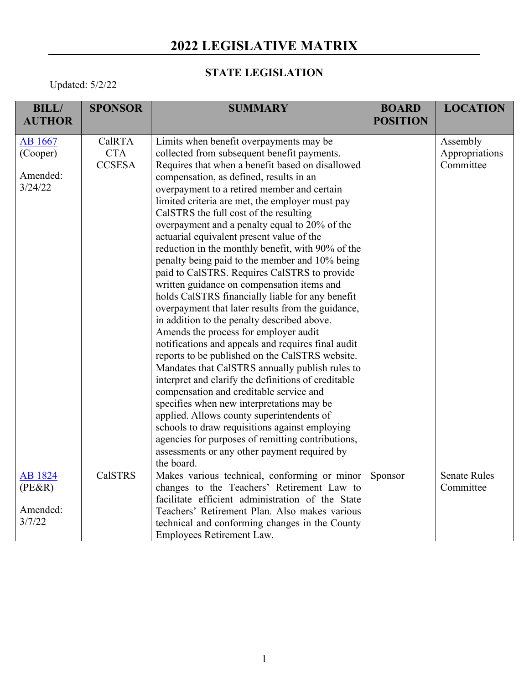## **2022 LEGISLATIVE MATRIX**

## **STATE LEGISLATION**

Updated: 5/2/22

| <b>BILL/</b>   | <b>SPONSOR</b> | <b>SUMMARY</b>                                      | <b>BOARD</b>    | <b>LOCATION</b>     |
|----------------|----------------|-----------------------------------------------------|-----------------|---------------------|
| <b>AUTHOR</b>  |                |                                                     | <b>POSITION</b> |                     |
| AB 1667        | CalRTA         | Limits when benefit overpayments may be             |                 | Assembly            |
| (Cooper)       | <b>CTA</b>     | collected from subsequent benefit payments.         |                 | Appropriations      |
|                | <b>CCSESA</b>  | Requires that when a benefit based on disallowed    |                 | Committee           |
| Amended:       |                | compensation, as defined, results in an             |                 |                     |
| 3/24/22        |                | overpayment to a retired member and certain         |                 |                     |
|                |                | limited criteria are met, the employer must pay     |                 |                     |
|                |                | CalSTRS the full cost of the resulting              |                 |                     |
|                |                | overpayment and a penalty equal to 20% of the       |                 |                     |
|                |                | actuarial equivalent present value of the           |                 |                     |
|                |                | reduction in the monthly benefit, with 90% of the   |                 |                     |
|                |                | penalty being paid to the member and 10% being      |                 |                     |
|                |                | paid to CalSTRS. Requires CalSTRS to provide        |                 |                     |
|                |                | written guidance on compensation items and          |                 |                     |
|                |                | holds CalSTRS financially liable for any benefit    |                 |                     |
|                |                | overpayment that later results from the guidance,   |                 |                     |
|                |                | in addition to the penalty described above.         |                 |                     |
|                |                | Amends the process for employer audit               |                 |                     |
|                |                | notifications and appeals and requires final audit  |                 |                     |
|                |                | reports to be published on the CalSTRS website.     |                 |                     |
|                |                | Mandates that CalSTRS annually publish rules to     |                 |                     |
|                |                | interpret and clarify the definitions of creditable |                 |                     |
|                |                | compensation and creditable service and             |                 |                     |
|                |                | specifies when new interpretations may be           |                 |                     |
|                |                | applied. Allows county superintendents of           |                 |                     |
|                |                | schools to draw requisitions against employing      |                 |                     |
|                |                | agencies for purposes of remitting contributions,   |                 |                     |
|                |                | assessments or any other payment required by        |                 |                     |
|                |                | the board.                                          |                 |                     |
| <b>AB</b> 1824 | <b>CalSTRS</b> | Makes various technical, conforming or minor        | Sponsor         | <b>Senate Rules</b> |
| (PE&R)         |                | changes to the Teachers' Retirement Law to          |                 | Committee           |
|                |                | facilitate efficient administration of the State    |                 |                     |
| Amended:       |                | Teachers' Retirement Plan. Also makes various       |                 |                     |
| 3/7/22         |                | technical and conforming changes in the County      |                 |                     |
|                |                | Employees Retirement Law.                           |                 |                     |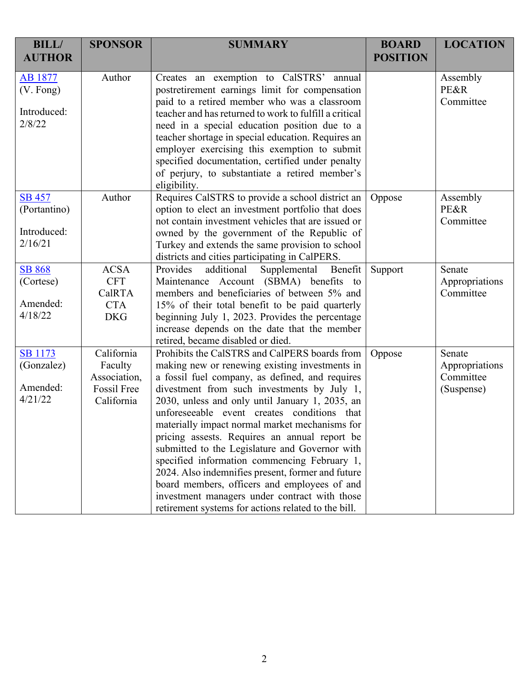| <b>BILL/</b><br><b>AUTHOR</b>                           | <b>SPONSOR</b>                                                     | <b>SUMMARY</b>                                                                                                                                                                                                                                                                                                                                                                                                                                                                                                                                                                                                                                                                                                        | <b>BOARD</b><br><b>POSITION</b> | <b>LOCATION</b>                                     |
|---------------------------------------------------------|--------------------------------------------------------------------|-----------------------------------------------------------------------------------------------------------------------------------------------------------------------------------------------------------------------------------------------------------------------------------------------------------------------------------------------------------------------------------------------------------------------------------------------------------------------------------------------------------------------------------------------------------------------------------------------------------------------------------------------------------------------------------------------------------------------|---------------------------------|-----------------------------------------------------|
| AB 1877<br>$(V.$ Fong)<br>Introduced:<br>2/8/22         | Author                                                             | Creates an exemption to CalSTRS' annual<br>postretirement earnings limit for compensation<br>paid to a retired member who was a classroom<br>teacher and has returned to work to fulfill a critical<br>need in a special education position due to a<br>teacher shortage in special education. Requires an<br>employer exercising this exemption to submit<br>specified documentation, certified under penalty<br>of perjury, to substantiate a retired member's<br>eligibility.                                                                                                                                                                                                                                      |                                 | Assembly<br>PE&R<br>Committee                       |
| <b>SB 457</b><br>(Portantino)<br>Introduced:<br>2/16/21 | Author                                                             | Requires CalSTRS to provide a school district an<br>option to elect an investment portfolio that does<br>not contain investment vehicles that are issued or<br>owned by the government of the Republic of<br>Turkey and extends the same provision to school<br>districts and cities participating in CalPERS.                                                                                                                                                                                                                                                                                                                                                                                                        | Oppose                          | Assembly<br>PE&R<br>Committee                       |
| <b>SB 868</b><br>(Cortese)<br>Amended:<br>4/18/22       | <b>ACSA</b><br><b>CFT</b><br>CalRTA<br><b>CTA</b><br><b>DKG</b>    | additional<br>Supplemental Benefit<br>Provides<br>Maintenance Account (SBMA) benefits to<br>members and beneficiaries of between 5% and<br>15% of their total benefit to be paid quarterly<br>beginning July 1, 2023. Provides the percentage<br>increase depends on the date that the member<br>retired, became disabled or died.                                                                                                                                                                                                                                                                                                                                                                                    | Support                         | Senate<br>Appropriations<br>Committee               |
| <b>SB</b> 1173<br>(Gonzalez)<br>Amended:<br>4/21/22     | California<br>Faculty<br>Association,<br>Fossil Free<br>California | Prohibits the CalSTRS and CalPERS boards from<br>making new or renewing existing investments in<br>a fossil fuel company, as defined, and requires<br>divestment from such investments by July 1,<br>2030, unless and only until January 1, 2035, an<br>unforeseeable event creates conditions that<br>materially impact normal market mechanisms for<br>pricing assests. Requires an annual report be<br>submitted to the Legislature and Governor with<br>specified information commencing February 1,<br>2024. Also indemnifies present, former and future<br>board members, officers and employees of and<br>investment managers under contract with those<br>retirement systems for actions related to the bill. | Oppose                          | Senate<br>Appropriations<br>Committee<br>(Suspense) |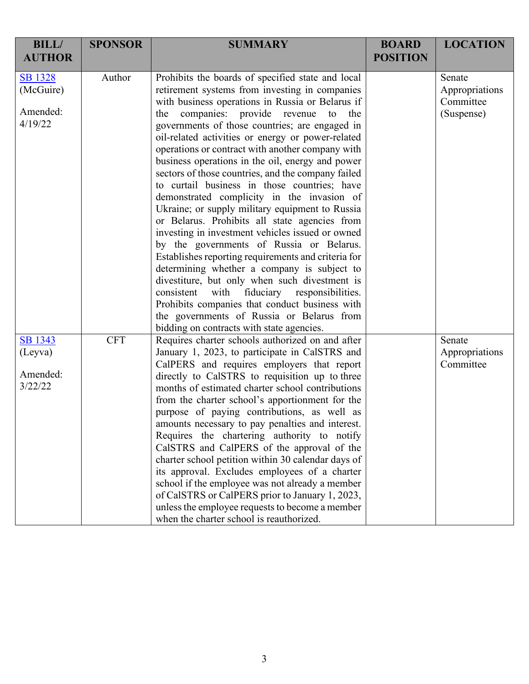| <b>BILL/</b>                | <b>SPONSOR</b> | <b>SUMMARY</b>                                                                                                                                                                                                                                                                                                                                                                                                                                            | <b>BOARD</b>    | <b>LOCATION</b>          |
|-----------------------------|----------------|-----------------------------------------------------------------------------------------------------------------------------------------------------------------------------------------------------------------------------------------------------------------------------------------------------------------------------------------------------------------------------------------------------------------------------------------------------------|-----------------|--------------------------|
| <b>AUTHOR</b>               |                |                                                                                                                                                                                                                                                                                                                                                                                                                                                           | <b>POSITION</b> |                          |
| <b>SB</b> 1328<br>(McGuire) | Author         | Prohibits the boards of specified state and local<br>retirement systems from investing in companies                                                                                                                                                                                                                                                                                                                                                       |                 | Senate<br>Appropriations |
|                             |                | with business operations in Russia or Belarus if                                                                                                                                                                                                                                                                                                                                                                                                          |                 | Committee                |
| Amended:                    |                | companies: provide revenue to the<br>the                                                                                                                                                                                                                                                                                                                                                                                                                  |                 | (Suspense)               |
| 4/19/22                     |                | governments of those countries; are engaged in                                                                                                                                                                                                                                                                                                                                                                                                            |                 |                          |
|                             |                | oil-related activities or energy or power-related                                                                                                                                                                                                                                                                                                                                                                                                         |                 |                          |
|                             |                | operations or contract with another company with                                                                                                                                                                                                                                                                                                                                                                                                          |                 |                          |
|                             |                | business operations in the oil, energy and power                                                                                                                                                                                                                                                                                                                                                                                                          |                 |                          |
|                             |                | sectors of those countries, and the company failed                                                                                                                                                                                                                                                                                                                                                                                                        |                 |                          |
|                             |                | to curtail business in those countries; have                                                                                                                                                                                                                                                                                                                                                                                                              |                 |                          |
|                             |                | demonstrated complicity in the invasion of                                                                                                                                                                                                                                                                                                                                                                                                                |                 |                          |
|                             |                | Ukraine; or supply military equipment to Russia                                                                                                                                                                                                                                                                                                                                                                                                           |                 |                          |
|                             |                | or Belarus. Prohibits all state agencies from                                                                                                                                                                                                                                                                                                                                                                                                             |                 |                          |
|                             |                | investing in investment vehicles issued or owned<br>by the governments of Russia or Belarus.                                                                                                                                                                                                                                                                                                                                                              |                 |                          |
|                             |                | Establishes reporting requirements and criteria for                                                                                                                                                                                                                                                                                                                                                                                                       |                 |                          |
|                             |                | determining whether a company is subject to                                                                                                                                                                                                                                                                                                                                                                                                               |                 |                          |
|                             |                | divestiture, but only when such divestment is                                                                                                                                                                                                                                                                                                                                                                                                             |                 |                          |
|                             |                | consistent<br>with fiduciary responsibilities.                                                                                                                                                                                                                                                                                                                                                                                                            |                 |                          |
|                             |                | Prohibits companies that conduct business with                                                                                                                                                                                                                                                                                                                                                                                                            |                 |                          |
|                             |                | the governments of Russia or Belarus from                                                                                                                                                                                                                                                                                                                                                                                                                 |                 |                          |
|                             |                | bidding on contracts with state agencies.                                                                                                                                                                                                                                                                                                                                                                                                                 |                 |                          |
| SB 1343                     | <b>CFT</b>     | Requires charter schools authorized on and after                                                                                                                                                                                                                                                                                                                                                                                                          |                 | Senate                   |
| (Leyva)                     |                | January 1, 2023, to participate in CalSTRS and                                                                                                                                                                                                                                                                                                                                                                                                            |                 | Appropriations           |
|                             |                | CalPERS and requires employers that report                                                                                                                                                                                                                                                                                                                                                                                                                |                 | Committee                |
| Amended:                    |                | directly to CalSTRS to requisition up to three                                                                                                                                                                                                                                                                                                                                                                                                            |                 |                          |
| 3/22/22                     |                | months of estimated charter school contributions                                                                                                                                                                                                                                                                                                                                                                                                          |                 |                          |
|                             |                | from the charter school's apportionment for the                                                                                                                                                                                                                                                                                                                                                                                                           |                 |                          |
|                             |                | purpose of paying contributions, as well as                                                                                                                                                                                                                                                                                                                                                                                                               |                 |                          |
|                             |                |                                                                                                                                                                                                                                                                                                                                                                                                                                                           |                 |                          |
|                             |                |                                                                                                                                                                                                                                                                                                                                                                                                                                                           |                 |                          |
|                             |                |                                                                                                                                                                                                                                                                                                                                                                                                                                                           |                 |                          |
|                             |                |                                                                                                                                                                                                                                                                                                                                                                                                                                                           |                 |                          |
|                             |                |                                                                                                                                                                                                                                                                                                                                                                                                                                                           |                 |                          |
|                             |                |                                                                                                                                                                                                                                                                                                                                                                                                                                                           |                 |                          |
|                             |                |                                                                                                                                                                                                                                                                                                                                                                                                                                                           |                 |                          |
|                             |                |                                                                                                                                                                                                                                                                                                                                                                                                                                                           |                 |                          |
|                             |                | amounts necessary to pay penalties and interest.<br>Requires the chartering authority to notify<br>CalSTRS and CalPERS of the approval of the<br>charter school petition within 30 calendar days of<br>its approval. Excludes employees of a charter<br>school if the employee was not already a member<br>of CalSTRS or CalPERS prior to January 1, 2023,<br>unless the employee requests to become a member<br>when the charter school is reauthorized. |                 |                          |